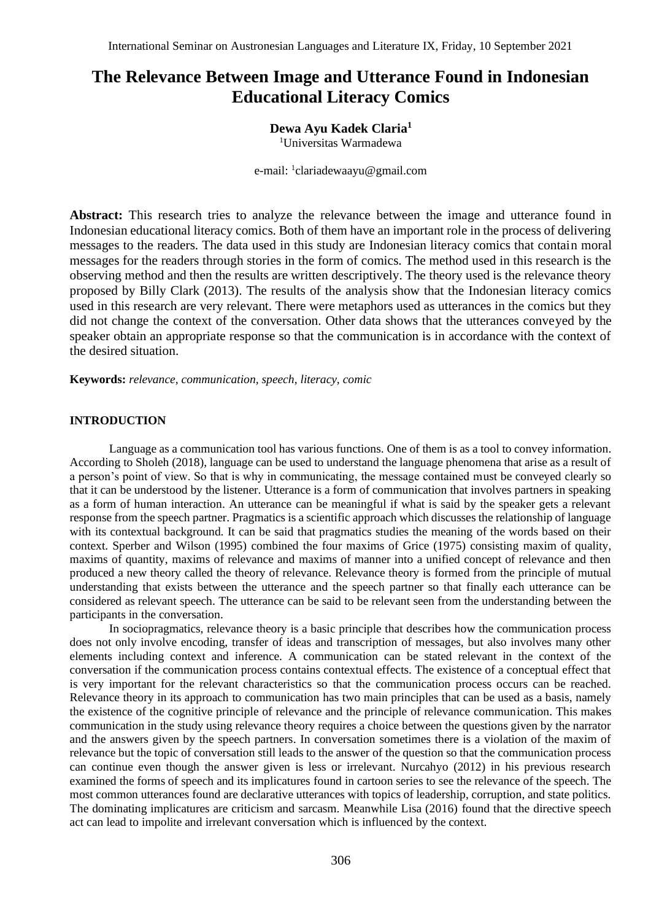# **The Relevance Between Image and Utterance Found in Indonesian Educational Literacy Comics**

## **Dewa Ayu Kadek Claria<sup>1</sup>**

<sup>1</sup>Universitas Warmadewa

e-mail: <sup>1</sup>clariadewaayu@gmail.com

Abstract: This research tries to analyze the relevance between the image and utterance found in Indonesian educational literacy comics. Both of them have an important role in the process of delivering messages to the readers. The data used in this study are Indonesian literacy comics that contain moral messages for the readers through stories in the form of comics. The method used in this research is the observing method and then the results are written descriptively. The theory used is the relevance theory proposed by Billy Clark (2013). The results of the analysis show that the Indonesian literacy comics used in this research are very relevant. There were metaphors used as utterances in the comics but they did not change the context of the conversation. Other data shows that the utterances conveyed by the speaker obtain an appropriate response so that the communication is in accordance with the context of the desired situation.

**Keywords:** *relevance, communication, speech, literacy, comic*

## **INTRODUCTION**

Language as a communication tool has various functions. One of them is as a tool to convey information. According to Sholeh (2018), language can be used to understand the language phenomena that arise as a result of a person's point of view. So that is why in communicating, the message contained must be conveyed clearly so that it can be understood by the listener. Utterance is a form of communication that involves partners in speaking as a form of human interaction. An utterance can be meaningful if what is said by the speaker gets a relevant response from the speech partner. Pragmatics is a scientific approach which discusses the relationship of language with its contextual background. It can be said that pragmatics studies the meaning of the words based on their context. Sperber and Wilson (1995) combined the four maxims of Grice (1975) consisting maxim of quality, maxims of quantity, maxims of relevance and maxims of manner into a unified concept of relevance and then produced a new theory called the theory of relevance. Relevance theory is formed from the principle of mutual understanding that exists between the utterance and the speech partner so that finally each utterance can be considered as relevant speech. The utterance can be said to be relevant seen from the understanding between the participants in the conversation.

In sociopragmatics, relevance theory is a basic principle that describes how the communication process does not only involve encoding, transfer of ideas and transcription of messages, but also involves many other elements including context and inference. A communication can be stated relevant in the context of the conversation if the communication process contains contextual effects. The existence of a conceptual effect that is very important for the relevant characteristics so that the communication process occurs can be reached. Relevance theory in its approach to communication has two main principles that can be used as a basis, namely the existence of the cognitive principle of relevance and the principle of relevance communication. This makes communication in the study using relevance theory requires a choice between the questions given by the narrator and the answers given by the speech partners. In conversation sometimes there is a violation of the maxim of relevance but the topic of conversation still leads to the answer of the question so that the communication process can continue even though the answer given is less or irrelevant. Nurcahyo (2012) in his previous research examined the forms of speech and its implicatures found in cartoon series to see the relevance of the speech. The most common utterances found are declarative utterances with topics of leadership, corruption, and state politics. The dominating implicatures are criticism and sarcasm. Meanwhile Lisa (2016) found that the directive speech act can lead to impolite and irrelevant conversation which is influenced by the context.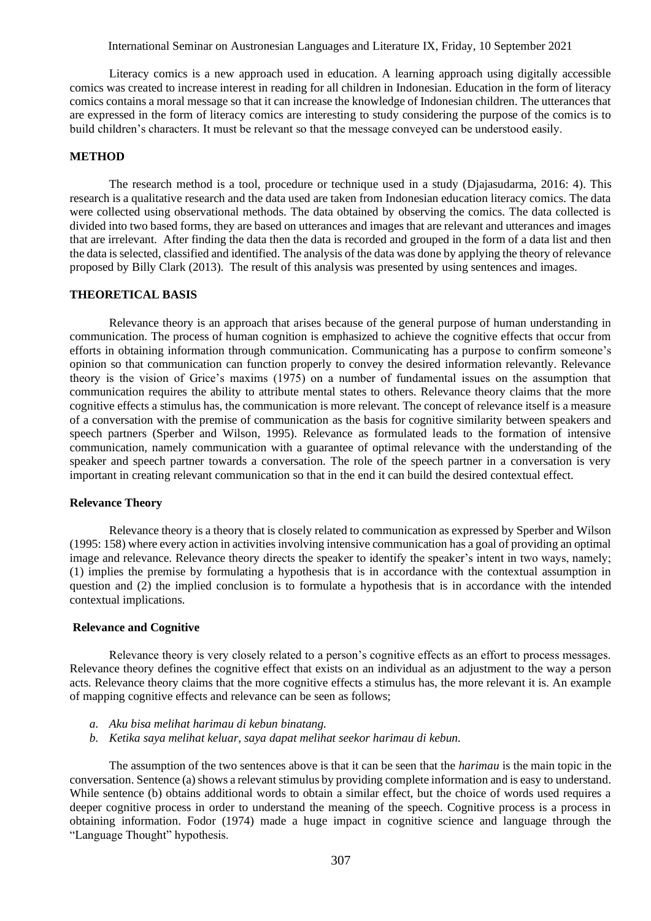## International Seminar on Austronesian Languages and Literature IX, Friday, 10 September 2021

Literacy comics is a new approach used in education. A learning approach using digitally accessible comics was created to increase interest in reading for all children in Indonesian. Education in the form of literacy comics contains a moral message so that it can increase the knowledge of Indonesian children. The utterances that are expressed in the form of literacy comics are interesting to study considering the purpose of the comics is to build children's characters. It must be relevant so that the message conveyed can be understood easily.

#### **METHOD**

The research method is a tool, procedure or technique used in a study (Djajasudarma, 2016: 4). This research is a qualitative research and the data used are taken from Indonesian education literacy comics. The data were collected using observational methods. The data obtained by observing the comics. The data collected is divided into two based forms, they are based on utterances and images that are relevant and utterances and images that are irrelevant. After finding the data then the data is recorded and grouped in the form of a data list and then the data is selected, classified and identified. The analysis of the data was done by applying the theory of relevance proposed by Billy Clark (2013). The result of this analysis was presented by using sentences and images.

## **THEORETICAL BASIS**

Relevance theory is an approach that arises because of the general purpose of human understanding in communication. The process of human cognition is emphasized to achieve the cognitive effects that occur from efforts in obtaining information through communication. Communicating has a purpose to confirm someone's opinion so that communication can function properly to convey the desired information relevantly. Relevance theory is the vision of Grice's maxims (1975) on a number of fundamental issues on the assumption that communication requires the ability to attribute mental states to others. Relevance theory claims that the more cognitive effects a stimulus has, the communication is more relevant. The concept of relevance itself is a measure of a conversation with the premise of communication as the basis for cognitive similarity between speakers and speech partners (Sperber and Wilson, 1995). Relevance as formulated leads to the formation of intensive communication, namely communication with a guarantee of optimal relevance with the understanding of the speaker and speech partner towards a conversation. The role of the speech partner in a conversation is very important in creating relevant communication so that in the end it can build the desired contextual effect.

## **Relevance Theory**

Relevance theory is a theory that is closely related to communication as expressed by Sperber and Wilson (1995: 158) where every action in activities involving intensive communication has a goal of providing an optimal image and relevance. Relevance theory directs the speaker to identify the speaker's intent in two ways, namely; (1) implies the premise by formulating a hypothesis that is in accordance with the contextual assumption in question and (2) the implied conclusion is to formulate a hypothesis that is in accordance with the intended contextual implications.

## **Relevance and Cognitive**

Relevance theory is very closely related to a person's cognitive effects as an effort to process messages. Relevance theory defines the cognitive effect that exists on an individual as an adjustment to the way a person acts. Relevance theory claims that the more cognitive effects a stimulus has, the more relevant it is. An example of mapping cognitive effects and relevance can be seen as follows;

- *a. Aku bisa melihat harimau di kebun binatang.*
- *b. Ketika saya melihat keluar, saya dapat melihat seekor harimau di kebun.*

The assumption of the two sentences above is that it can be seen that the *harimau* is the main topic in the conversation. Sentence (a) shows a relevant stimulus by providing complete information and is easy to understand. While sentence (b) obtains additional words to obtain a similar effect, but the choice of words used requires a deeper cognitive process in order to understand the meaning of the speech. Cognitive process is a process in obtaining information. Fodor (1974) made a huge impact in cognitive science and language through the "Language Thought" hypothesis.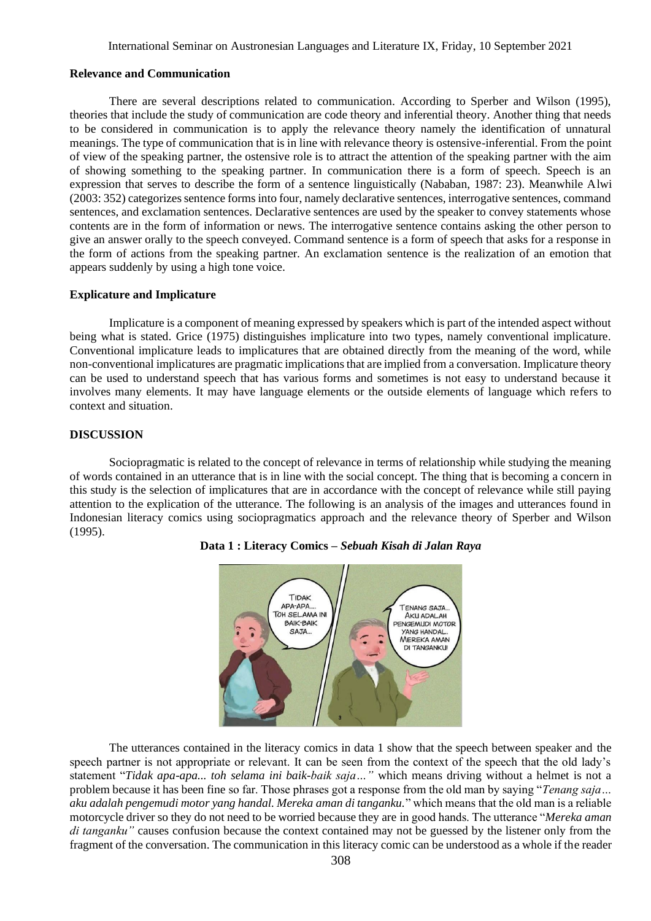#### **Relevance and Communication**

There are several descriptions related to communication. According to Sperber and Wilson (1995), theories that include the study of communication are code theory and inferential theory. Another thing that needs to be considered in communication is to apply the relevance theory namely the identification of unnatural meanings. The type of communication that is in line with relevance theory is ostensive-inferential. From the point of view of the speaking partner, the ostensive role is to attract the attention of the speaking partner with the aim of showing something to the speaking partner. In communication there is a form of speech. Speech is an expression that serves to describe the form of a sentence linguistically (Nababan, 1987: 23). Meanwhile Alwi (2003: 352) categorizes sentence forms into four, namely declarative sentences, interrogative sentences, command sentences, and exclamation sentences. Declarative sentences are used by the speaker to convey statements whose contents are in the form of information or news. The interrogative sentence contains asking the other person to give an answer orally to the speech conveyed. Command sentence is a form of speech that asks for a response in the form of actions from the speaking partner. An exclamation sentence is the realization of an emotion that appears suddenly by using a high tone voice.

## **Explicature and Implicature**

Implicature is a component of meaning expressed by speakers which is part of the intended aspect without being what is stated. Grice (1975) distinguishes implicature into two types, namely conventional implicature. Conventional implicature leads to implicatures that are obtained directly from the meaning of the word, while non-conventional implicatures are pragmatic implications that are implied from a conversation. Implicature theory can be used to understand speech that has various forms and sometimes is not easy to understand because it involves many elements. It may have language elements or the outside elements of language which refers to context and situation.

## **DISCUSSION**

Sociopragmatic is related to the concept of relevance in terms of relationship while studying the meaning of words contained in an utterance that is in line with the social concept. The thing that is becoming a concern in this study is the selection of implicatures that are in accordance with the concept of relevance while still paying attention to the explication of the utterance. The following is an analysis of the images and utterances found in Indonesian literacy comics using sociopragmatics approach and the relevance theory of Sperber and Wilson (1995).



## **Data 1 : Literacy Comics –** *Sebuah Kisah di Jalan Raya*

The utterances contained in the literacy comics in data 1 show that the speech between speaker and the speech partner is not appropriate or relevant. It can be seen from the context of the speech that the old lady's statement "*Tidak apa-apa... toh selama ini baik-baik saja…"* which means driving without a helmet is not a problem because it has been fine so far. Those phrases got a response from the old man by saying "*Tenang saja… aku adalah pengemudi motor yang handal. Mereka aman di tanganku.*" which means that the old man is a reliable motorcycle driver so they do not need to be worried because they are in good hands. The utterance "*Mereka aman di tanganku"* causes confusion because the context contained may not be guessed by the listener only from the fragment of the conversation. The communication in this literacy comic can be understood as a whole if the reader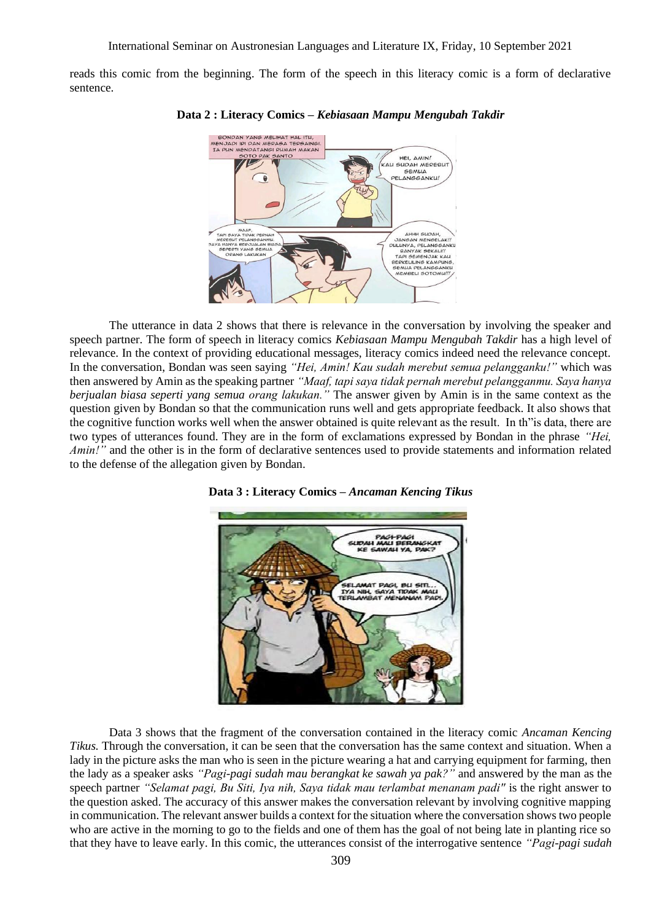reads this comic from the beginning. The form of the speech in this literacy comic is a form of declarative sentence.



**Data 2 : Literacy Comics –** *Kebiasaan Mampu Mengubah Takdir*

The utterance in data 2 shows that there is relevance in the conversation by involving the speaker and speech partner. The form of speech in literacy comics *Kebiasaan Mampu Mengubah Takdir* has a high level of relevance. In the context of providing educational messages, literacy comics indeed need the relevance concept. In the conversation, Bondan was seen saying *"Hei, Amin! Kau sudah merebut semua pelangganku!"* which was then answered by Amin as the speaking partner *"Maaf, tapi saya tidak pernah merebut pelangganmu. Saya hanya berjualan biasa seperti yang semua orang lakukan."* The answer given by Amin is in the same context as the question given by Bondan so that the communication runs well and gets appropriate feedback. It also shows that the cognitive function works well when the answer obtained is quite relevant as the result. In th"is data, there are two types of utterances found. They are in the form of exclamations expressed by Bondan in the phrase *"Hei, Amin!"* and the other is in the form of declarative sentences used to provide statements and information related to the defense of the allegation given by Bondan.





Data 3 shows that the fragment of the conversation contained in the literacy comic *Ancaman Kencing Tikus.* Through the conversation, it can be seen that the conversation has the same context and situation. When a lady in the picture asks the man who is seen in the picture wearing a hat and carrying equipment for farming, then the lady as a speaker asks *"Pagi-pagi sudah mau berangkat ke sawah ya pak?"* and answered by the man as the speech partner *"Selamat pagi, Bu Siti, Iya nih, Saya tidak mau terlambat menanam padi''* is the right answer to the question asked. The accuracy of this answer makes the conversation relevant by involving cognitive mapping in communication. The relevant answer builds a context for the situation where the conversation shows two people who are active in the morning to go to the fields and one of them has the goal of not being late in planting rice so that they have to leave early. In this comic, the utterances consist of the interrogative sentence *"Pagi-pagi sudah*